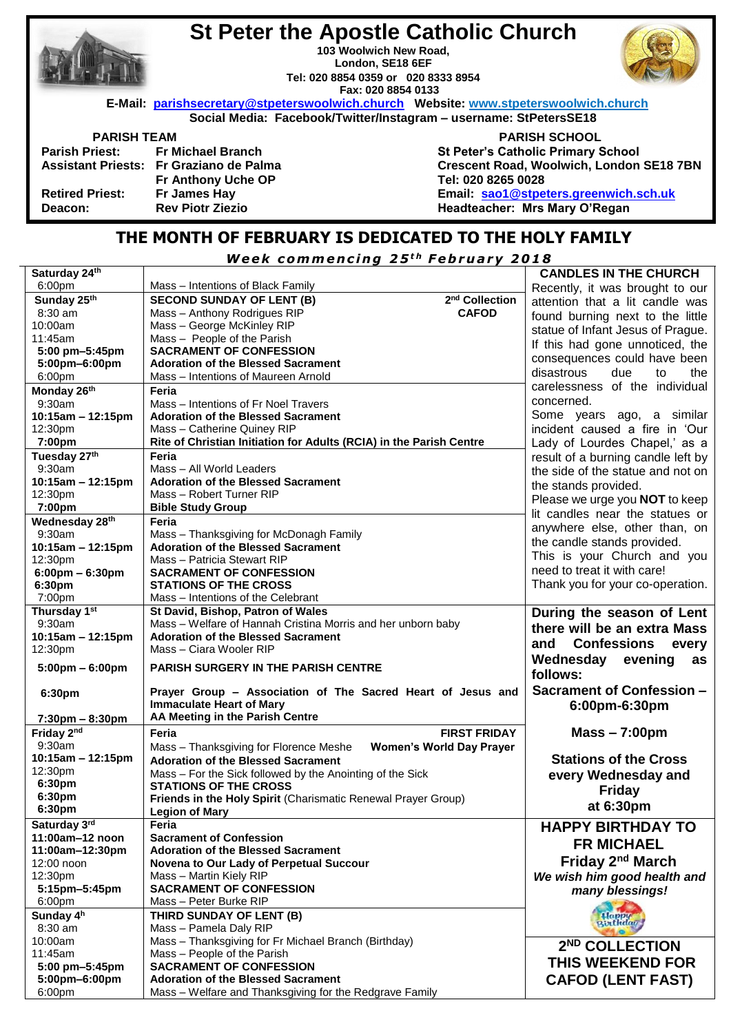|                        | <b>St Peter the Apostle Catholic Church</b><br>103 Woolwich New Road,<br>London, SE18 6EF<br>Tel: 020 8854 0359 or 020 8333 8954<br>Fax: 020 8854 0133 |                                           |  |
|------------------------|--------------------------------------------------------------------------------------------------------------------------------------------------------|-------------------------------------------|--|
|                        | E-Mail: parishsecretary@stpeterswoolwich.church Website: www.stpeterswoolwich.church                                                                   |                                           |  |
|                        | Social Media: Facebook/Twitter/Instagram - username: StPetersSE18                                                                                      |                                           |  |
| <b>PARISH TEAM</b>     |                                                                                                                                                        | <b>PARISH SCHOOL</b>                      |  |
|                        | Parish Priest: Fr Michael Branch                                                                                                                       | <b>St Peter's Catholic Primary School</b> |  |
|                        | Assistant Priests: Fr Graziano de Palma                                                                                                                | Crescent Road, Woolwich, London SE18 7BN  |  |
|                        | <b>Fr Anthony Uche OP</b>                                                                                                                              | Tel: 020 8265 0028                        |  |
| <b>Retired Priest:</b> | Fr James Hay                                                                                                                                           | Email: sao1@stpeters.greenwich.sch.uk     |  |
| Deacon:                | <b>Rev Piotr Ziezio</b>                                                                                                                                | Headteacher: Mrs Mary O'Regan             |  |
|                        |                                                                                                                                                        |                                           |  |

# **THE MONTH OF FEBRUARY IS DEDICATED TO THE HOLY FAMILY**

*<u>Week commencing 25<sup>th</sup> February 2018</u>* 

| Saturday 24th                     |                                                                                                      | <b>CANDLES IN THE CHURCH</b>       |
|-----------------------------------|------------------------------------------------------------------------------------------------------|------------------------------------|
| 6:00pm                            | Mass - Intentions of Black Family                                                                    | Recently, it was brought to our    |
| Sunday 25th                       | 2 <sup>nd</sup> Collection<br><b>SECOND SUNDAY OF LENT (B)</b>                                       | attention that a lit candle was    |
| 8:30 am                           | Mass - Anthony Rodrigues RIP<br><b>CAFOD</b>                                                         | found burning next to the little   |
| 10:00am                           | Mass - George McKinley RIP                                                                           |                                    |
| 11:45am                           | Mass - People of the Parish                                                                          | statue of Infant Jesus of Prague.  |
| 5:00 pm-5:45pm                    | <b>SACRAMENT OF CONFESSION</b>                                                                       | If this had gone unnoticed, the    |
| 5:00pm-6:00pm                     | <b>Adoration of the Blessed Sacrament</b>                                                            | consequences could have been       |
| 6:00pm                            | Mass - Intentions of Maureen Arnold                                                                  | disastrous<br>due<br>the<br>to     |
| Monday 26th                       | Feria                                                                                                | carelessness of the individual     |
| 9:30am                            | Mass - Intentions of Fr Noel Travers                                                                 | concerned.                         |
| 10:15am - 12:15pm                 | <b>Adoration of the Blessed Sacrament</b>                                                            | Some years ago, a similar          |
|                                   | Mass - Catherine Quiney RIP                                                                          | incident caused a fire in 'Our     |
| 12:30pm                           |                                                                                                      |                                    |
| 7:00pm                            | Rite of Christian Initiation for Adults (RCIA) in the Parish Centre                                  | Lady of Lourdes Chapel,' as a      |
| Tuesday 27th                      | Feria                                                                                                | result of a burning candle left by |
| 9:30am                            | Mass - All World Leaders                                                                             | the side of the statue and not on  |
| 10:15am - 12:15pm                 | <b>Adoration of the Blessed Sacrament</b>                                                            | the stands provided.               |
| 12:30pm                           | Mass - Robert Turner RIP                                                                             | Please we urge you NOT to keep     |
| 7:00pm                            | <b>Bible Study Group</b>                                                                             | lit candles near the statues or    |
| Wednesday 28th                    | Feria                                                                                                | anywhere else, other than, on      |
| 9:30am                            | Mass - Thanksgiving for McDonagh Family                                                              |                                    |
| 10:15am - 12:15pm                 | <b>Adoration of the Blessed Sacrament</b>                                                            | the candle stands provided.        |
| 12:30pm                           | Mass - Patricia Stewart RIP                                                                          | This is your Church and you        |
| $6:00 \text{pm} - 6:30 \text{pm}$ | <b>SACRAMENT OF CONFESSION</b>                                                                       | need to treat it with care!        |
| 6:30pm                            | <b>STATIONS OF THE CROSS</b>                                                                         | Thank you for your co-operation.   |
| 7:00pm                            | Mass - Intentions of the Celebrant                                                                   |                                    |
| Thursday 1st                      | St David, Bishop, Patron of Wales                                                                    | During the season of Lent          |
| 9:30am                            | Mass - Welfare of Hannah Cristina Morris and her unborn baby                                         | there will be an extra Mass        |
|                                   |                                                                                                      |                                    |
|                                   |                                                                                                      |                                    |
| 10:15am - 12:15pm                 | <b>Adoration of the Blessed Sacrament</b>                                                            | <b>Confessions</b><br>and<br>every |
| 12:30pm                           | Mass - Ciara Wooler RIP                                                                              | as                                 |
| $5:00 \text{pm} - 6:00 \text{pm}$ | <b>PARISH SURGERY IN THE PARISH CENTRE</b>                                                           | Wednesday<br>evening               |
|                                   |                                                                                                      | follows:                           |
| 6:30pm                            | Prayer Group - Association of The Sacred Heart of Jesus and                                          | <b>Sacrament of Confession -</b>   |
|                                   | <b>Immaculate Heart of Mary</b>                                                                      | 6:00pm-6:30pm                      |
| $7:30 \text{pm} - 8:30 \text{pm}$ | AA Meeting in the Parish Centre                                                                      |                                    |
| Friday 2nd                        | <b>FIRST FRIDAY</b><br>Feria                                                                         | $Mass - 7:00 \text{pm}$            |
| 9:30am                            | <b>Women's World Day Prayer</b>                                                                      |                                    |
| 10:15am - 12:15pm                 | Mass - Thanksgiving for Florence Meshe                                                               |                                    |
| 12:30pm                           | <b>Adoration of the Blessed Sacrament</b>                                                            | <b>Stations of the Cross</b>       |
| 6:30pm                            | Mass - For the Sick followed by the Anointing of the Sick                                            | every Wednesday and                |
| 6:30pm                            | <b>STATIONS OF THE CROSS</b>                                                                         | <b>Friday</b>                      |
|                                   | Friends in the Holy Spirit (Charismatic Renewal Prayer Group)                                        | at 6:30pm                          |
| 6:30pm                            | <b>Legion of Mary</b>                                                                                |                                    |
| Saturday 3rd                      | Feria                                                                                                | <b>HAPPY BIRTHDAY TO</b>           |
| 11:00am-12 noon                   | <b>Sacrament of Confession</b>                                                                       | <b>FR MICHAEL</b>                  |
| 11:00am-12:30pm                   | <b>Adoration of the Blessed Sacrament</b>                                                            |                                    |
| 12:00 noon                        | Novena to Our Lady of Perpetual Succour                                                              | Friday 2 <sup>nd</sup> March       |
| 12:30pm                           | Mass - Martin Kiely RIP                                                                              | We wish him good health and        |
| 5:15pm-5:45pm                     | <b>SACRAMENT OF CONFESSION</b>                                                                       | many blessings!                    |
| 6:00pm                            | Mass - Peter Burke RIP                                                                               |                                    |
| Sunday 4h                         | THIRD SUNDAY OF LENT (B)                                                                             | Happy<br>Birthday                  |
| 8:30 am                           | Mass - Pamela Daly RIP                                                                               |                                    |
| 10:00am                           | Mass - Thanksgiving for Fr Michael Branch (Birthday)                                                 | 2 <sup>ND</sup> COLLECTION         |
| 11:45am                           | Mass - People of the Parish                                                                          |                                    |
| 5:00 pm-5:45pm                    | <b>SACRAMENT OF CONFESSION</b>                                                                       | THIS WEEKEND FOR                   |
| 5:00pm-6:00pm<br>6:00pm           | <b>Adoration of the Blessed Sacrament</b><br>Mass - Welfare and Thanksgiving for the Redgrave Family | <b>CAFOD (LENT FAST)</b>           |